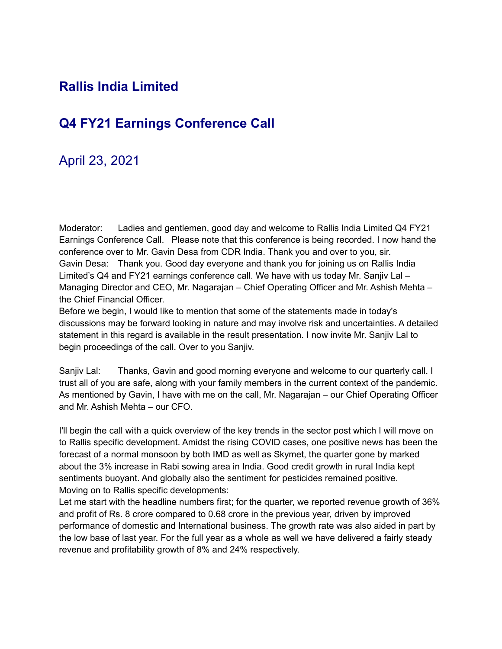### **Rallis India Limited**

# **Q4 FY21 Earnings Conference Call**

## April 23, 2021

Moderator: Ladies and gentlemen, good day and welcome to Rallis India Limited Q4 FY21 Earnings Conference Call. Please note that this conference is being recorded. I now hand the conference over to Mr. Gavin Desa from CDR India. Thank you and over to you, sir. Gavin Desa: Thank you. Good day everyone and thank you for joining us on Rallis India Limited's Q4 and FY21 earnings conference call. We have with us today Mr. Sanjiv Lal – Managing Director and CEO, Mr. Nagarajan – Chief Operating Officer and Mr. Ashish Mehta – the Chief Financial Officer.

Before we begin, I would like to mention that some of the statements made in today's discussions may be forward looking in nature and may involve risk and uncertainties. A detailed statement in this regard is available in the result presentation. I now invite Mr. Sanjiv Lal to begin proceedings of the call. Over to you Sanjiv.

Sanjiv Lal: Thanks, Gavin and good morning everyone and welcome to our quarterly call. I trust all of you are safe, along with your family members in the current context of the pandemic. As mentioned by Gavin, I have with me on the call, Mr. Nagarajan – our Chief Operating Officer and Mr. Ashish Mehta – our CFO.

I'll begin the call with a quick overview of the key trends in the sector post which I will move on to Rallis specific development. Amidst the rising COVID cases, one positive news has been the forecast of a normal monsoon by both IMD as well as Skymet, the quarter gone by marked about the 3% increase in Rabi sowing area in India. Good credit growth in rural India kept sentiments buoyant. And globally also the sentiment for pesticides remained positive. Moving on to Rallis specific developments:

Let me start with the headline numbers first; for the quarter, we reported revenue growth of 36% and profit of Rs. 8 crore compared to 0.68 crore in the previous year, driven by improved performance of domestic and International business. The growth rate was also aided in part by the low base of last year. For the full year as a whole as well we have delivered a fairly steady revenue and profitability growth of 8% and 24% respectively.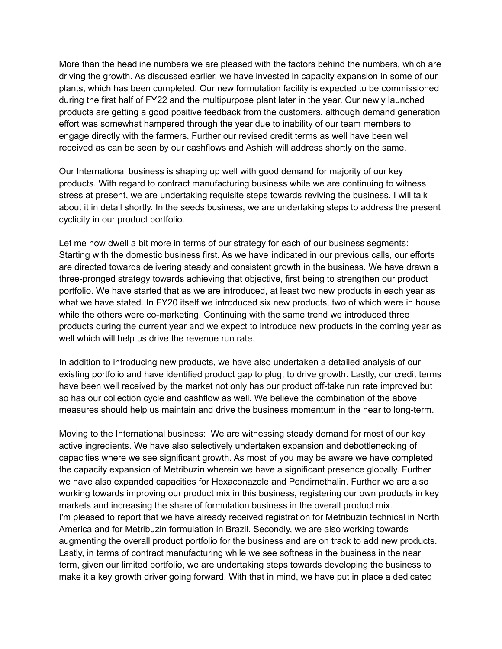More than the headline numbers we are pleased with the factors behind the numbers, which are driving the growth. As discussed earlier, we have invested in capacity expansion in some of our plants, which has been completed. Our new formulation facility is expected to be commissioned during the first half of FY22 and the multipurpose plant later in the year. Our newly launched products are getting a good positive feedback from the customers, although demand generation effort was somewhat hampered through the year due to inability of our team members to engage directly with the farmers. Further our revised credit terms as well have been well received as can be seen by our cashflows and Ashish will address shortly on the same.

Our International business is shaping up well with good demand for majority of our key products. With regard to contract manufacturing business while we are continuing to witness stress at present, we are undertaking requisite steps towards reviving the business. I will talk about it in detail shortly. In the seeds business, we are undertaking steps to address the present cyclicity in our product portfolio.

Let me now dwell a bit more in terms of our strategy for each of our business segments: Starting with the domestic business first. As we have indicated in our previous calls, our efforts are directed towards delivering steady and consistent growth in the business. We have drawn a three-pronged strategy towards achieving that objective, first being to strengthen our product portfolio. We have started that as we are introduced, at least two new products in each year as what we have stated. In FY20 itself we introduced six new products, two of which were in house while the others were co-marketing. Continuing with the same trend we introduced three products during the current year and we expect to introduce new products in the coming year as well which will help us drive the revenue run rate.

In addition to introducing new products, we have also undertaken a detailed analysis of our existing portfolio and have identified product gap to plug, to drive growth. Lastly, our credit terms have been well received by the market not only has our product off-take run rate improved but so has our collection cycle and cashflow as well. We believe the combination of the above measures should help us maintain and drive the business momentum in the near to long-term.

Moving to the International business: We are witnessing steady demand for most of our key active ingredients. We have also selectively undertaken expansion and debottlenecking of capacities where we see significant growth. As most of you may be aware we have completed the capacity expansion of Metribuzin wherein we have a significant presence globally. Further we have also expanded capacities for Hexaconazole and Pendimethalin. Further we are also working towards improving our product mix in this business, registering our own products in key markets and increasing the share of formulation business in the overall product mix. I'm pleased to report that we have already received registration for Metribuzin technical in North America and for Metribuzin formulation in Brazil. Secondly, we are also working towards augmenting the overall product portfolio for the business and are on track to add new products. Lastly, in terms of contract manufacturing while we see softness in the business in the near term, given our limited portfolio, we are undertaking steps towards developing the business to make it a key growth driver going forward. With that in mind, we have put in place a dedicated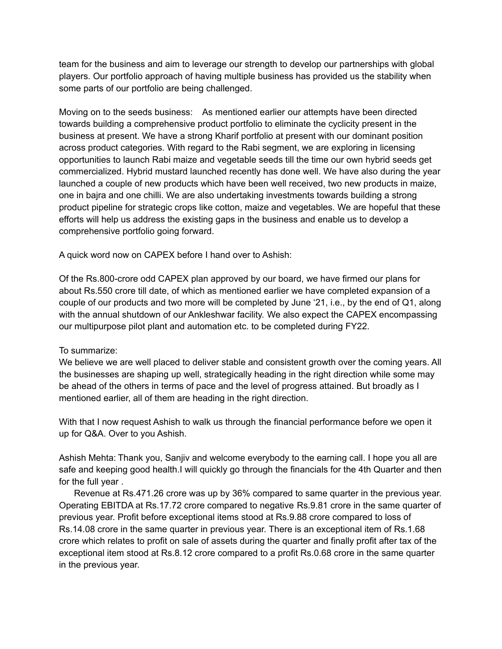team for the business and aim to leverage our strength to develop our partnerships with global players. Our portfolio approach of having multiple business has provided us the stability when some parts of our portfolio are being challenged.

Moving on to the seeds business: As mentioned earlier our attempts have been directed towards building a comprehensive product portfolio to eliminate the cyclicity present in the business at present. We have a strong Kharif portfolio at present with our dominant position across product categories. With regard to the Rabi segment, we are exploring in licensing opportunities to launch Rabi maize and vegetable seeds till the time our own hybrid seeds get commercialized. Hybrid mustard launched recently has done well. We have also during the year launched a couple of new products which have been well received, two new products in maize, one in bajra and one chilli. We are also undertaking investments towards building a strong product pipeline for strategic crops like cotton, maize and vegetables. We are hopeful that these efforts will help us address the existing gaps in the business and enable us to develop a comprehensive portfolio going forward.

A quick word now on CAPEX before I hand over to Ashish:

Of the Rs.800-crore odd CAPEX plan approved by our board, we have firmed our plans for about Rs.550 crore till date, of which as mentioned earlier we have completed expansion of a couple of our products and two more will be completed by June '21, i.e., by the end of Q1, along with the annual shutdown of our Ankleshwar facility. We also expect the CAPEX encompassing our multipurpose pilot plant and automation etc. to be completed during FY22.

#### To summarize:

We believe we are well placed to deliver stable and consistent growth over the coming years. All the businesses are shaping up well, strategically heading in the right direction while some may be ahead of the others in terms of pace and the level of progress attained. But broadly as I mentioned earlier, all of them are heading in the right direction.

With that I now request Ashish to walk us through the financial performance before we open it up for Q&A. Over to you Ashish.

Ashish Mehta: Thank you, Sanjiv and welcome everybody to the earning call. I hope you all are safe and keeping good health.I will quickly go through the financials for the 4th Quarter and then for the full year .

Revenue at Rs.471.26 crore was up by 36% compared to same quarter in the previous year. Operating EBITDA at Rs.17.72 crore compared to negative Rs.9.81 crore in the same quarter of previous year. Profit before exceptional items stood at Rs.9.88 crore compared to loss of Rs.14.08 crore in the same quarter in previous year. There is an exceptional item of Rs.1.68 crore which relates to profit on sale of assets during the quarter and finally profit after tax of the exceptional item stood at Rs.8.12 crore compared to a profit Rs.0.68 crore in the same quarter in the previous year.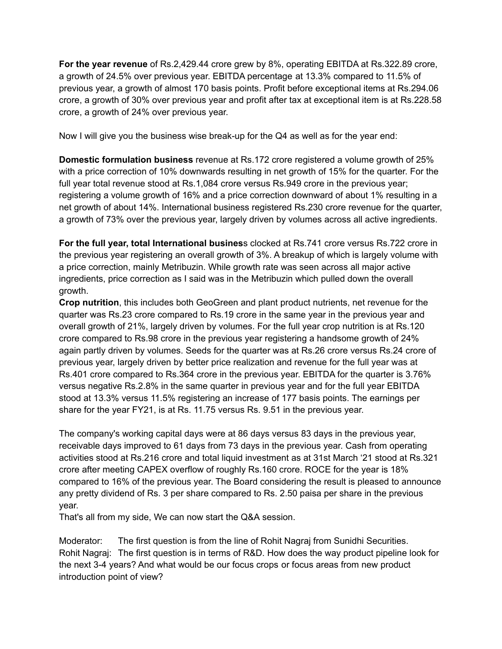**For the year revenue** of Rs.2,429.44 crore grew by 8%, operating EBITDA at Rs.322.89 crore, a growth of 24.5% over previous year. EBITDA percentage at 13.3% compared to 11.5% of previous year, a growth of almost 170 basis points. Profit before exceptional items at Rs.294.06 crore, a growth of 30% over previous year and profit after tax at exceptional item is at Rs.228.58 crore, a growth of 24% over previous year.

Now I will give you the business wise break-up for the Q4 as well as for the year end:

**Domestic formulation business** revenue at Rs.172 crore registered a volume growth of 25% with a price correction of 10% downwards resulting in net growth of 15% for the quarter. For the full year total revenue stood at Rs.1,084 crore versus Rs.949 crore in the previous year; registering a volume growth of 16% and a price correction downward of about 1% resulting in a net growth of about 14%. International business registered Rs.230 crore revenue for the quarter, a growth of 73% over the previous year, largely driven by volumes across all active ingredients.

**For the full year, total International busines**s clocked at Rs.741 crore versus Rs.722 crore in the previous year registering an overall growth of 3%. A breakup of which is largely volume with a price correction, mainly Metribuzin. While growth rate was seen across all major active ingredients, price correction as I said was in the Metribuzin which pulled down the overall growth.

**Crop nutrition**, this includes both GeoGreen and plant product nutrients, net revenue for the quarter was Rs.23 crore compared to Rs.19 crore in the same year in the previous year and overall growth of 21%, largely driven by volumes. For the full year crop nutrition is at Rs.120 crore compared to Rs.98 crore in the previous year registering a handsome growth of 24% again partly driven by volumes. Seeds for the quarter was at Rs.26 crore versus Rs.24 crore of previous year, largely driven by better price realization and revenue for the full year was at Rs.401 crore compared to Rs.364 crore in the previous year. EBITDA for the quarter is 3.76% versus negative Rs.2.8% in the same quarter in previous year and for the full year EBITDA stood at 13.3% versus 11.5% registering an increase of 177 basis points. The earnings per share for the year FY21, is at Rs. 11.75 versus Rs. 9.51 in the previous year.

The company's working capital days were at 86 days versus 83 days in the previous year, receivable days improved to 61 days from 73 days in the previous year. Cash from operating activities stood at Rs.216 crore and total liquid investment as at 31st March '21 stood at Rs.321 crore after meeting CAPEX overflow of roughly Rs.160 crore. ROCE for the year is 18% compared to 16% of the previous year. The Board considering the result is pleased to announce any pretty dividend of Rs. 3 per share compared to Rs. 2.50 paisa per share in the previous year.

That's all from my side, We can now start the Q&A session.

Moderator: The first question is from the line of Rohit Nagraj from Sunidhi Securities. Rohit Nagraj: The first question is in terms of R&D. How does the way product pipeline look for the next 3-4 years? And what would be our focus crops or focus areas from new product introduction point of view?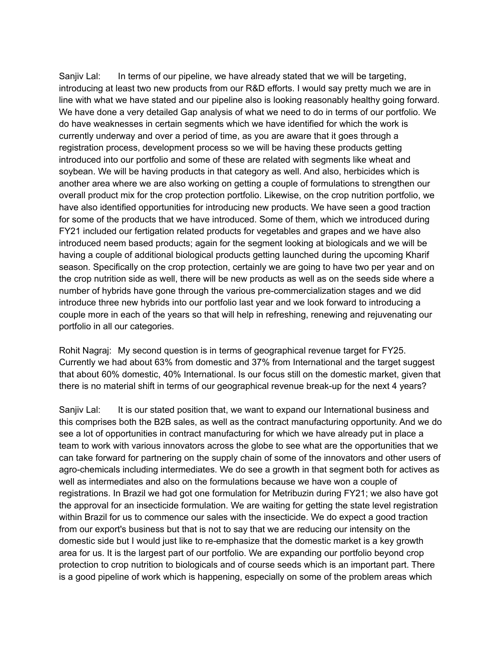Sanjiv Lal: In terms of our pipeline, we have already stated that we will be targeting, introducing at least two new products from our R&D efforts. I would say pretty much we are in line with what we have stated and our pipeline also is looking reasonably healthy going forward. We have done a very detailed Gap analysis of what we need to do in terms of our portfolio. We do have weaknesses in certain segments which we have identified for which the work is currently underway and over a period of time, as you are aware that it goes through a registration process, development process so we will be having these products getting introduced into our portfolio and some of these are related with segments like wheat and soybean. We will be having products in that category as well. And also, herbicides which is another area where we are also working on getting a couple of formulations to strengthen our overall product mix for the crop protection portfolio. Likewise, on the crop nutrition portfolio, we have also identified opportunities for introducing new products. We have seen a good traction for some of the products that we have introduced. Some of them, which we introduced during FY21 included our fertigation related products for vegetables and grapes and we have also introduced neem based products; again for the segment looking at biologicals and we will be having a couple of additional biological products getting launched during the upcoming Kharif season. Specifically on the crop protection, certainly we are going to have two per year and on the crop nutrition side as well, there will be new products as well as on the seeds side where a number of hybrids have gone through the various pre-commercialization stages and we did introduce three new hybrids into our portfolio last year and we look forward to introducing a couple more in each of the years so that will help in refreshing, renewing and rejuvenating our portfolio in all our categories.

Rohit Nagraj: My second question is in terms of geographical revenue target for FY25. Currently we had about 63% from domestic and 37% from International and the target suggest that about 60% domestic, 40% International. Is our focus still on the domestic market, given that there is no material shift in terms of our geographical revenue break-up for the next 4 years?

Sanjiv Lal: It is our stated position that, we want to expand our International business and this comprises both the B2B sales, as well as the contract manufacturing opportunity. And we do see a lot of opportunities in contract manufacturing for which we have already put in place a team to work with various innovators across the globe to see what are the opportunities that we can take forward for partnering on the supply chain of some of the innovators and other users of agro-chemicals including intermediates. We do see a growth in that segment both for actives as well as intermediates and also on the formulations because we have won a couple of registrations. In Brazil we had got one formulation for Metribuzin during FY21; we also have got the approval for an insecticide formulation. We are waiting for getting the state level registration within Brazil for us to commence our sales with the insecticide. We do expect a good traction from our export's business but that is not to say that we are reducing our intensity on the domestic side but I would just like to re-emphasize that the domestic market is a key growth area for us. It is the largest part of our portfolio. We are expanding our portfolio beyond crop protection to crop nutrition to biologicals and of course seeds which is an important part. There is a good pipeline of work which is happening, especially on some of the problem areas which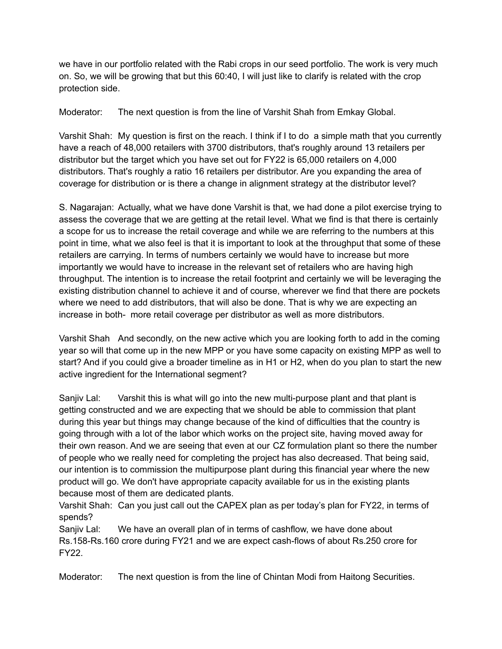we have in our portfolio related with the Rabi crops in our seed portfolio. The work is very much on. So, we will be growing that but this 60:40, I will just like to clarify is related with the crop protection side.

Moderator: The next question is from the line of Varshit Shah from Emkay Global.

Varshit Shah: My question is first on the reach. I think if I to do a simple math that you currently have a reach of 48,000 retailers with 3700 distributors, that's roughly around 13 retailers per distributor but the target which you have set out for FY22 is 65,000 retailers on 4,000 distributors. That's roughly a ratio 16 retailers per distributor. Are you expanding the area of coverage for distribution or is there a change in alignment strategy at the distributor level?

S. Nagarajan: Actually, what we have done Varshit is that, we had done a pilot exercise trying to assess the coverage that we are getting at the retail level. What we find is that there is certainly a scope for us to increase the retail coverage and while we are referring to the numbers at this point in time, what we also feel is that it is important to look at the throughput that some of these retailers are carrying. In terms of numbers certainly we would have to increase but more importantly we would have to increase in the relevant set of retailers who are having high throughput. The intention is to increase the retail footprint and certainly we will be leveraging the existing distribution channel to achieve it and of course, wherever we find that there are pockets where we need to add distributors, that will also be done. That is why we are expecting an increase in both- more retail coverage per distributor as well as more distributors.

Varshit Shah And secondly, on the new active which you are looking forth to add in the coming year so will that come up in the new MPP or you have some capacity on existing MPP as well to start? And if you could give a broader timeline as in H1 or H2, when do you plan to start the new active ingredient for the International segment?

Sanjiv Lal: Varshit this is what will go into the new multi-purpose plant and that plant is getting constructed and we are expecting that we should be able to commission that plant during this year but things may change because of the kind of difficulties that the country is going through with a lot of the labor which works on the project site, having moved away for their own reason. And we are seeing that even at our CZ formulation plant so there the number of people who we really need for completing the project has also decreased. That being said, our intention is to commission the multipurpose plant during this financial year where the new product will go. We don't have appropriate capacity available for us in the existing plants because most of them are dedicated plants.

Varshit Shah: Can you just call out the CAPEX plan as per today's plan for FY22, in terms of spends?

Sanjiv Lal: We have an overall plan of in terms of cashflow, we have done about Rs.158-Rs.160 crore during FY21 and we are expect cash-flows of about Rs.250 crore for FY22.

Moderator: The next question is from the line of Chintan Modi from Haitong Securities.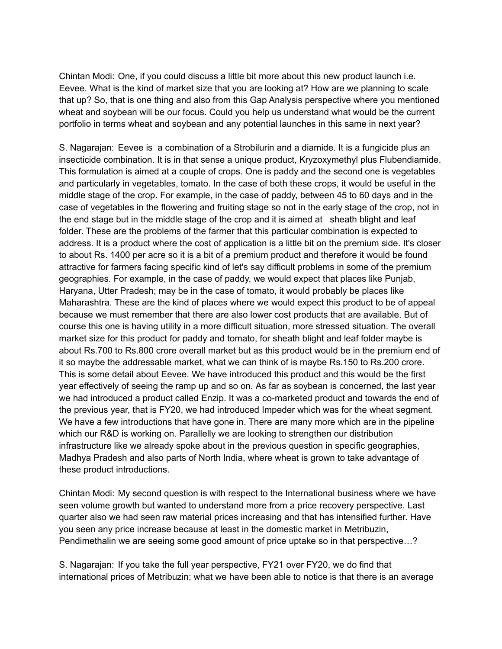Chintan Modi: One, if you could discuss a little bit more about this new product launch i.e. Eevee. What is the kind of market size that you are looking at? How are we planning to scale that up? So, that is one thing and also from this Gap Analysis perspective where you mentioned wheat and soybean will be our focus. Could you help us understand what would be the current portfolio in terms wheat and soybean and any potential launches in this same in next year?

S. Nagarajan: Eevee is a combination of a Strobilurin and a diamide. It is a fungicide plus an insecticide combination. It is in that sense a unique product, Kryzoxymethyl plus Flubendiamide. This formulation is aimed at a couple of crops. One is paddy and the second one is vegetables and particularly in vegetables, tomato. In the case of both these crops, it would be useful in the middle stage of the crop. For example, in the case of paddy, between 45 to 60 days and in the case of vegetables in the flowering and fruiting stage so not in the early stage of the crop, not in the end stage but in the middle stage of the crop and it is aimed at sheath blight and leaf folder. These are the problems of the farmer that this particular combination is expected to address. It is a product where the cost of application is a little bit on the premium side. It's closer to about Rs. 1400 per acre so it is a bit of a premium product and therefore it would be found attractive for farmers facing specific kind of let's say difficult problems in some of the premium geographies. For example, in the case of paddy, we would expect that places like Punjab, Haryana, Utter Pradesh; may be in the case of tomato, it would probably be places like Maharashtra. These are the kind of places where we would expect this product to be of appeal because we must remember that there are also lower cost products that are available. But of course this one is having utility in a more difficult situation, more stressed situation. The overall market size for this product for paddy and tomato, for sheath blight and leaf folder maybe is about Rs.700 to Rs.800 crore overall market but as this product would be in the premium end of it so maybe the addressable market, what we can think of is maybe Rs.150 to Rs.200 crore. This is some detail about Eevee. We have introduced this product and this would be the first year effectively of seeing the ramp up and so on. As far as soybean is concerned, the last year we had introduced a product called Enzip. It was a co-marketed product and towards the end of the previous year, that is FY20, we had introduced Impeder which was for the wheat segment. We have a few introductions that have gone in. There are many more which are in the pipeline which our R&D is working on. Parallelly we are looking to strengthen our distribution infrastructure like we already spoke about in the previous question in specific geographies, Madhya Pradesh and also parts of North India, where wheat is grown to take advantage of these product introductions.

Chintan Modi: My second question is with respect to the International business where we have seen volume growth but wanted to understand more from a price recovery perspective. Last quarter also we had seen raw material prices increasing and that has intensified further. Have you seen any price increase because at least in the domestic market in Metribuzin, Pendimethalin we are seeing some good amount of price uptake so in that perspective…?

S. Nagarajan: If you take the full year perspective, FY21 over FY20, we do find that international prices of Metribuzin; what we have been able to notice is that there is an average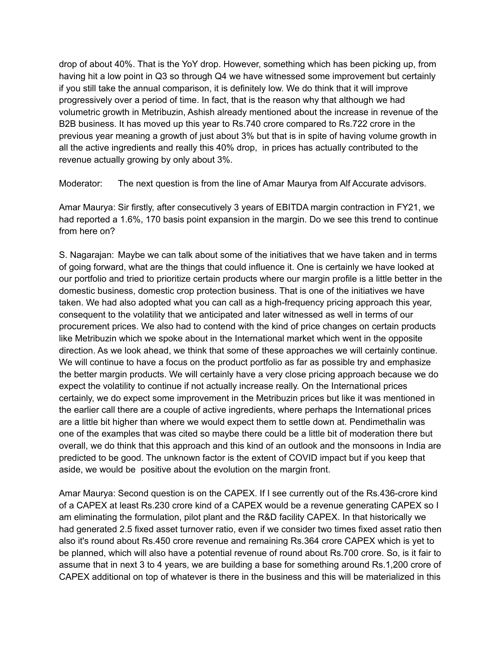drop of about 40%. That is the YoY drop. However, something which has been picking up, from having hit a low point in Q3 so through Q4 we have witnessed some improvement but certainly if you still take the annual comparison, it is definitely low. We do think that it will improve progressively over a period of time. In fact, that is the reason why that although we had volumetric growth in Metribuzin, Ashish already mentioned about the increase in revenue of the B2B business. It has moved up this year to Rs.740 crore compared to Rs.722 crore in the previous year meaning a growth of just about 3% but that is in spite of having volume growth in all the active ingredients and really this 40% drop, in prices has actually contributed to the revenue actually growing by only about 3%.

Moderator: The next question is from the line of Amar Maurya from Alf Accurate advisors.

Amar Maurya: Sir firstly, after consecutively 3 years of EBITDA margin contraction in FY21, we had reported a 1.6%, 170 basis point expansion in the margin. Do we see this trend to continue from here on?

S. Nagarajan: Maybe we can talk about some of the initiatives that we have taken and in terms of going forward, what are the things that could influence it. One is certainly we have looked at our portfolio and tried to prioritize certain products where our margin profile is a little better in the domestic business, domestic crop protection business. That is one of the initiatives we have taken. We had also adopted what you can call as a high-frequency pricing approach this year, consequent to the volatility that we anticipated and later witnessed as well in terms of our procurement prices. We also had to contend with the kind of price changes on certain products like Metribuzin which we spoke about in the International market which went in the opposite direction. As we look ahead, we think that some of these approaches we will certainly continue. We will continue to have a focus on the product portfolio as far as possible try and emphasize the better margin products. We will certainly have a very close pricing approach because we do expect the volatility to continue if not actually increase really. On the International prices certainly, we do expect some improvement in the Metribuzin prices but like it was mentioned in the earlier call there are a couple of active ingredients, where perhaps the International prices are a little bit higher than where we would expect them to settle down at. Pendimethalin was one of the examples that was cited so maybe there could be a little bit of moderation there but overall, we do think that this approach and this kind of an outlook and the monsoons in India are predicted to be good. The unknown factor is the extent of COVID impact but if you keep that aside, we would be positive about the evolution on the margin front.

Amar Maurya: Second question is on the CAPEX. If I see currently out of the Rs.436-crore kind of a CAPEX at least Rs.230 crore kind of a CAPEX would be a revenue generating CAPEX so I am eliminating the formulation, pilot plant and the R&D facility CAPEX. In that historically we had generated 2.5 fixed asset turnover ratio, even if we consider two times fixed asset ratio then also it's round about Rs.450 crore revenue and remaining Rs.364 crore CAPEX which is yet to be planned, which will also have a potential revenue of round about Rs.700 crore. So, is it fair to assume that in next 3 to 4 years, we are building a base for something around Rs.1,200 crore of CAPEX additional on top of whatever is there in the business and this will be materialized in this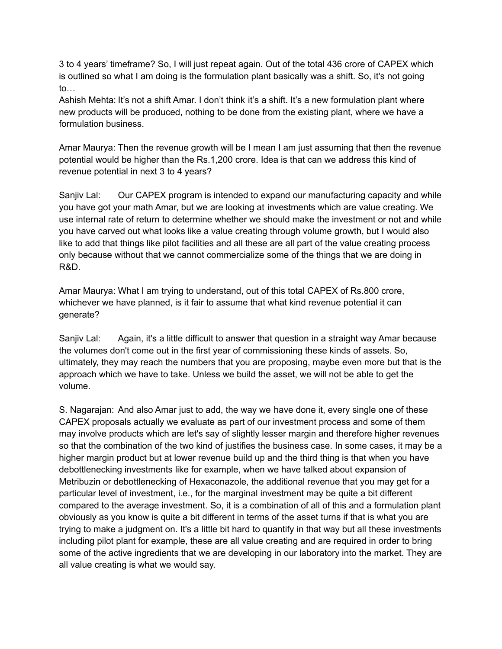3 to 4 years' timeframe? So, I will just repeat again. Out of the total 436 crore of CAPEX which is outlined so what I am doing is the formulation plant basically was a shift. So, it's not going to…

Ashish Mehta: It's not a shift Amar. I don't think it's a shift. It's a new formulation plant where new products will be produced, nothing to be done from the existing plant, where we have a formulation business.

Amar Maurya: Then the revenue growth will be I mean I am just assuming that then the revenue potential would be higher than the Rs.1,200 crore. Idea is that can we address this kind of revenue potential in next 3 to 4 years?

Sanjiv Lal: Our CAPEX program is intended to expand our manufacturing capacity and while you have got your math Amar, but we are looking at investments which are value creating. We use internal rate of return to determine whether we should make the investment or not and while you have carved out what looks like a value creating through volume growth, but I would also like to add that things like pilot facilities and all these are all part of the value creating process only because without that we cannot commercialize some of the things that we are doing in R&D.

Amar Maurya: What I am trying to understand, out of this total CAPEX of Rs.800 crore, whichever we have planned, is it fair to assume that what kind revenue potential it can generate?

Sanjiv Lal: Again, it's a little difficult to answer that question in a straight way Amar because the volumes don't come out in the first year of commissioning these kinds of assets. So, ultimately, they may reach the numbers that you are proposing, maybe even more but that is the approach which we have to take. Unless we build the asset, we will not be able to get the volume.

S. Nagarajan: And also Amar just to add, the way we have done it, every single one of these CAPEX proposals actually we evaluate as part of our investment process and some of them may involve products which are let's say of slightly lesser margin and therefore higher revenues so that the combination of the two kind of justifies the business case. In some cases, it may be a higher margin product but at lower revenue build up and the third thing is that when you have debottlenecking investments like for example, when we have talked about expansion of Metribuzin or debottlenecking of Hexaconazole, the additional revenue that you may get for a particular level of investment, i.e., for the marginal investment may be quite a bit different compared to the average investment. So, it is a combination of all of this and a formulation plant obviously as you know is quite a bit different in terms of the asset turns if that is what you are trying to make a judgment on. It's a little bit hard to quantify in that way but all these investments including pilot plant for example, these are all value creating and are required in order to bring some of the active ingredients that we are developing in our laboratory into the market. They are all value creating is what we would say.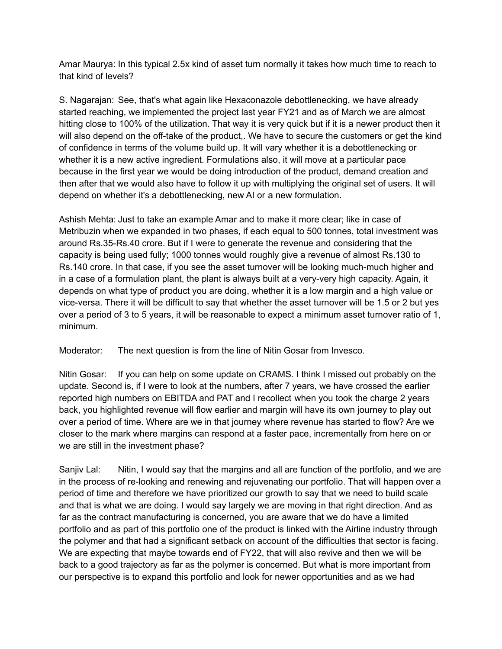Amar Maurya: In this typical 2.5x kind of asset turn normally it takes how much time to reach to that kind of levels?

S. Nagarajan: See, that's what again like Hexaconazole debottlenecking, we have already started reaching, we implemented the project last year FY21 and as of March we are almost hitting close to 100% of the utilization. That way it is very quick but if it is a newer product then it will also depend on the off-take of the product,. We have to secure the customers or get the kind of confidence in terms of the volume build up. It will vary whether it is a debottlenecking or whether it is a new active ingredient. Formulations also, it will move at a particular pace because in the first year we would be doing introduction of the product, demand creation and then after that we would also have to follow it up with multiplying the original set of users. It will depend on whether it's a debottlenecking, new AI or a new formulation.

Ashish Mehta: Just to take an example Amar and to make it more clear; like in case of Metribuzin when we expanded in two phases, if each equal to 500 tonnes, total investment was around Rs.35-Rs.40 crore. But if I were to generate the revenue and considering that the capacity is being used fully; 1000 tonnes would roughly give a revenue of almost Rs.130 to Rs.140 crore. In that case, if you see the asset turnover will be looking much-much higher and in a case of a formulation plant, the plant is always built at a very-very high capacity. Again, it depends on what type of product you are doing, whether it is a low margin and a high value or vice-versa. There it will be difficult to say that whether the asset turnover will be 1.5 or 2 but yes over a period of 3 to 5 years, it will be reasonable to expect a minimum asset turnover ratio of 1, minimum.

Moderator: The next question is from the line of Nitin Gosar from Invesco.

Nitin Gosar: If you can help on some update on CRAMS. I think I missed out probably on the update. Second is, if I were to look at the numbers, after 7 years, we have crossed the earlier reported high numbers on EBITDA and PAT and I recollect when you took the charge 2 years back, you highlighted revenue will flow earlier and margin will have its own journey to play out over a period of time. Where are we in that journey where revenue has started to flow? Are we closer to the mark where margins can respond at a faster pace, incrementally from here on or we are still in the investment phase?

Sanjiv Lal: Nitin, I would say that the margins and all are function of the portfolio, and we are in the process of re-looking and renewing and rejuvenating our portfolio. That will happen over a period of time and therefore we have prioritized our growth to say that we need to build scale and that is what we are doing. I would say largely we are moving in that right direction. And as far as the contract manufacturing is concerned, you are aware that we do have a limited portfolio and as part of this portfolio one of the product is linked with the Airline industry through the polymer and that had a significant setback on account of the difficulties that sector is facing. We are expecting that maybe towards end of FY22, that will also revive and then we will be back to a good trajectory as far as the polymer is concerned. But what is more important from our perspective is to expand this portfolio and look for newer opportunities and as we had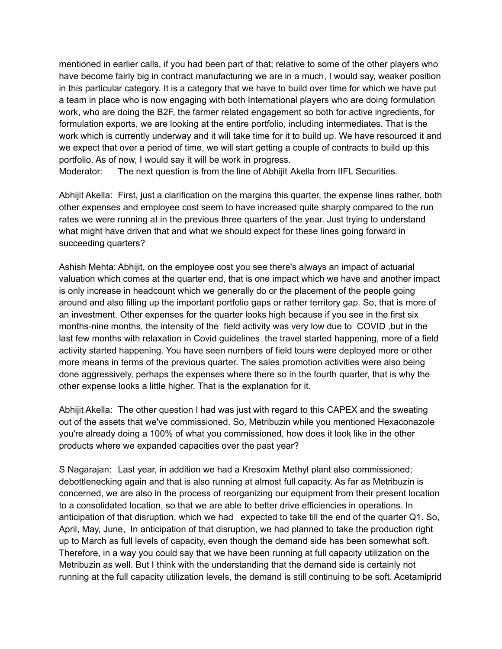mentioned in earlier calls, if you had been part of that; relative to some of the other players who have become fairly big in contract manufacturing we are in a much, I would say, weaker position in this particular category. It is a category that we have to build over time for which we have put a team in place who is now engaging with both International players who are doing formulation work, who are doing the B2F, the farmer related engagement so both for active ingredients, for formulation exports, we are looking at the entire portfolio, including intermediates. That is the work which is currently underway and it will take time for it to build up. We have resourced it and we expect that over a period of time, we will start getting a couple of contracts to build up this portfolio. As of now, I would say it will be work in progress. Moderator: The next question is from the line of Abhijit Akella from IIFL Securities.

Abhijit Akella: First, just a clarification on the margins this quarter, the expense lines rather, both other expenses and employee cost seem to have increased quite sharply compared to the run rates we were running at in the previous three quarters of the year. Just trying to understand what might have driven that and what we should expect for these lines going forward in succeeding quarters?

Ashish Mehta: Abhijit, on the employee cost you see there's always an impact of actuarial valuation which comes at the quarter end, that is one impact which we have and another impact is only increase in headcount which we generally do or the placement of the people going around and also filling up the important portfolio gaps or rather territory gap. So, that is more of an investment. Other expenses for the quarter looks high because if you see in the first six months-nine months, the intensity of the field activity was very low due to COVID ,but in the last few months with relaxation in Covid guidelines the travel started happening, more of a field activity started happening. You have seen numbers of field tours were deployed more or other more means in terms of the previous quarter. The sales promotion activities were also being done aggressively, perhaps the expenses where there so in the fourth quarter, that is why the other expense looks a little higher. That is the explanation for it.

Abhijit Akella: The other question I had was just with regard to this CAPEX and the sweating out of the assets that we've commissioned. So, Metribuzin while you mentioned Hexaconazole you're already doing a 100% of what you commissioned, how does it look like in the other products where we expanded capacities over the past year?

S Nagarajan: Last year, in addition we had a Kresoxim Methyl plant also commissioned; debottlenecking again and that is also running at almost full capacity. As far as Metribuzin is concerned, we are also in the process of reorganizing our equipment from their present location to a consolidated location, so that we are able to better drive efficiencies in operations. In anticipation of that disruption, which we had expected to take till the end of the quarter Q1. So, April, May, June, In anticipation of that disruption, we had planned to take the production right up to March as full levels of capacity, even though the demand side has been somewhat soft. Therefore, in a way you could say that we have been running at full capacity utilization on the Metribuzin as well. But I think with the understanding that the demand side is certainly not running at the full capacity utilization levels, the demand is still continuing to be soft. Acetamiprid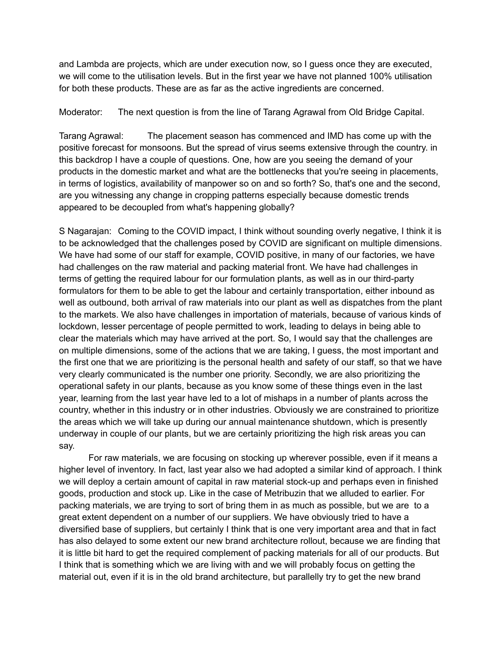and Lambda are projects, which are under execution now, so I guess once they are executed, we will come to the utilisation levels. But in the first year we have not planned 100% utilisation for both these products. These are as far as the active ingredients are concerned.

Moderator: The next question is from the line of Tarang Agrawal from Old Bridge Capital.

Tarang Agrawal: The placement season has commenced and IMD has come up with the positive forecast for monsoons. But the spread of virus seems extensive through the country. in this backdrop I have a couple of questions. One, how are you seeing the demand of your products in the domestic market and what are the bottlenecks that you're seeing in placements, in terms of logistics, availability of manpower so on and so forth? So, that's one and the second, are you witnessing any change in cropping patterns especially because domestic trends appeared to be decoupled from what's happening globally?

S Nagarajan: Coming to the COVID impact, I think without sounding overly negative, I think it is to be acknowledged that the challenges posed by COVID are significant on multiple dimensions. We have had some of our staff for example, COVID positive, in many of our factories, we have had challenges on the raw material and packing material front. We have had challenges in terms of getting the required labour for our formulation plants, as well as in our third-party formulators for them to be able to get the labour and certainly transportation, either inbound as well as outbound, both arrival of raw materials into our plant as well as dispatches from the plant to the markets. We also have challenges in importation of materials, because of various kinds of lockdown, lesser percentage of people permitted to work, leading to delays in being able to clear the materials which may have arrived at the port. So, I would say that the challenges are on multiple dimensions, some of the actions that we are taking, I guess, the most important and the first one that we are prioritizing is the personal health and safety of our staff, so that we have very clearly communicated is the number one priority. Secondly, we are also prioritizing the operational safety in our plants, because as you know some of these things even in the last year, learning from the last year have led to a lot of mishaps in a number of plants across the country, whether in this industry or in other industries. Obviously we are constrained to prioritize the areas which we will take up during our annual maintenance shutdown, which is presently underway in couple of our plants, but we are certainly prioritizing the high risk areas you can say.

For raw materials, we are focusing on stocking up wherever possible, even if it means a higher level of inventory. In fact, last year also we had adopted a similar kind of approach. I think we will deploy a certain amount of capital in raw material stock-up and perhaps even in finished goods, production and stock up. Like in the case of Metribuzin that we alluded to earlier. For packing materials, we are trying to sort of bring them in as much as possible, but we are to a great extent dependent on a number of our suppliers. We have obviously tried to have a diversified base of suppliers, but certainly I think that is one very important area and that in fact has also delayed to some extent our new brand architecture rollout, because we are finding that it is little bit hard to get the required complement of packing materials for all of our products. But I think that is something which we are living with and we will probably focus on getting the material out, even if it is in the old brand architecture, but parallelly try to get the new brand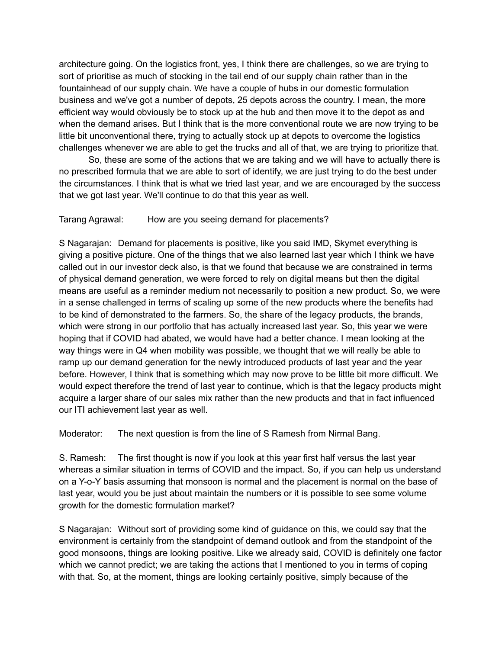architecture going. On the logistics front, yes, I think there are challenges, so we are trying to sort of prioritise as much of stocking in the tail end of our supply chain rather than in the fountainhead of our supply chain. We have a couple of hubs in our domestic formulation business and we've got a number of depots, 25 depots across the country. I mean, the more efficient way would obviously be to stock up at the hub and then move it to the depot as and when the demand arises. But I think that is the more conventional route we are now trying to be little bit unconventional there, trying to actually stock up at depots to overcome the logistics challenges whenever we are able to get the trucks and all of that, we are trying to prioritize that.

So, these are some of the actions that we are taking and we will have to actually there is no prescribed formula that we are able to sort of identify, we are just trying to do the best under the circumstances. I think that is what we tried last year, and we are encouraged by the success that we got last year. We'll continue to do that this year as well.

#### Tarang Agrawal: How are you seeing demand for placements?

S Nagarajan: Demand for placements is positive, like you said IMD, Skymet everything is giving a positive picture. One of the things that we also learned last year which I think we have called out in our investor deck also, is that we found that because we are constrained in terms of physical demand generation, we were forced to rely on digital means but then the digital means are useful as a reminder medium not necessarily to position a new product. So, we were in a sense challenged in terms of scaling up some of the new products where the benefits had to be kind of demonstrated to the farmers. So, the share of the legacy products, the brands, which were strong in our portfolio that has actually increased last year. So, this year we were hoping that if COVID had abated, we would have had a better chance. I mean looking at the way things were in Q4 when mobility was possible, we thought that we will really be able to ramp up our demand generation for the newly introduced products of last year and the year before. However, I think that is something which may now prove to be little bit more difficult. We would expect therefore the trend of last year to continue, which is that the legacy products might acquire a larger share of our sales mix rather than the new products and that in fact influenced our ITI achievement last year as well.

Moderator: The next question is from the line of S Ramesh from Nirmal Bang.

S. Ramesh: The first thought is now if you look at this year first half versus the last year whereas a similar situation in terms of COVID and the impact. So, if you can help us understand on a Y-o-Y basis assuming that monsoon is normal and the placement is normal on the base of last year, would you be just about maintain the numbers or it is possible to see some volume growth for the domestic formulation market?

S Nagarajan: Without sort of providing some kind of guidance on this, we could say that the environment is certainly from the standpoint of demand outlook and from the standpoint of the good monsoons, things are looking positive. Like we already said, COVID is definitely one factor which we cannot predict; we are taking the actions that I mentioned to you in terms of coping with that. So, at the moment, things are looking certainly positive, simply because of the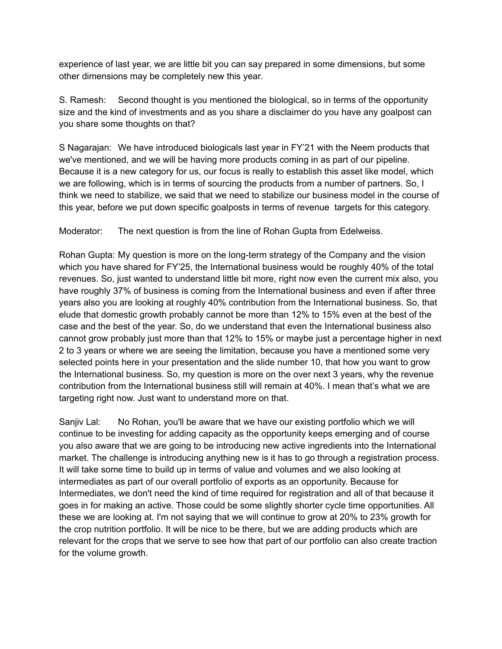experience of last year, we are little bit you can say prepared in some dimensions, but some other dimensions may be completely new this year.

S. Ramesh: Second thought is you mentioned the biological, so in terms of the opportunity size and the kind of investments and as you share a disclaimer do you have any goalpost can you share some thoughts on that?

S Nagarajan: We have introduced biologicals last year in FY'21 with the Neem products that we've mentioned, and we will be having more products coming in as part of our pipeline. Because it is a new category for us, our focus is really to establish this asset like model, which we are following, which is in terms of sourcing the products from a number of partners. So, I think we need to stabilize, we said that we need to stabilize our business model in the course of this year, before we put down specific goalposts in terms of revenue targets for this category.

Moderator: The next question is from the line of Rohan Gupta from Edelweiss.

Rohan Gupta: My question is more on the long-term strategy of the Company and the vision which you have shared for FY'25, the International business would be roughly 40% of the total revenues. So, just wanted to understand little bit more, right now even the current mix also, you have roughly 37% of business is coming from the International business and even if after three years also you are looking at roughly 40% contribution from the International business. So, that elude that domestic growth probably cannot be more than 12% to 15% even at the best of the case and the best of the year. So, do we understand that even the International business also cannot grow probably just more than that 12% to 15% or maybe just a percentage higher in next 2 to 3 years or where we are seeing the limitation, because you have a mentioned some very selected points here in your presentation and the slide number 10, that how you want to grow the International business. So, my question is more on the over next 3 years, why the revenue contribution from the International business still will remain at 40%. I mean that's what we are targeting right now. Just want to understand more on that.

Sanjiv Lal: No Rohan, you'll be aware that we have our existing portfolio which we will continue to be investing for adding capacity as the opportunity keeps emerging and of course you also aware that we are going to be introducing new active ingredients into the International market. The challenge is introducing anything new is it has to go through a registration process. It will take some time to build up in terms of value and volumes and we also looking at intermediates as part of our overall portfolio of exports as an opportunity. Because for Intermediates, we don't need the kind of time required for registration and all of that because it goes in for making an active. Those could be some slightly shorter cycle time opportunities. All these we are looking at. I'm not saying that we will continue to grow at 20% to 23% growth for the crop nutrition portfolio. It will be nice to be there, but we are adding products which are relevant for the crops that we serve to see how that part of our portfolio can also create traction for the volume growth.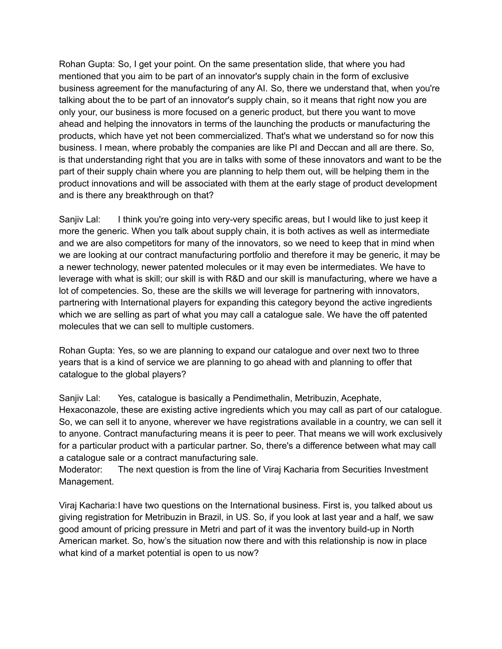Rohan Gupta: So, I get your point. On the same presentation slide, that where you had mentioned that you aim to be part of an innovator's supply chain in the form of exclusive business agreement for the manufacturing of any AI. So, there we understand that, when you're talking about the to be part of an innovator's supply chain, so it means that right now you are only your, our business is more focused on a generic product, but there you want to move ahead and helping the innovators in terms of the launching the products or manufacturing the products, which have yet not been commercialized. That's what we understand so for now this business. I mean, where probably the companies are like PI and Deccan and all are there. So, is that understanding right that you are in talks with some of these innovators and want to be the part of their supply chain where you are planning to help them out, will be helping them in the product innovations and will be associated with them at the early stage of product development and is there any breakthrough on that?

Sanjiv Lal: I think you're going into very-very specific areas, but I would like to just keep it more the generic. When you talk about supply chain, it is both actives as well as intermediate and we are also competitors for many of the innovators, so we need to keep that in mind when we are looking at our contract manufacturing portfolio and therefore it may be generic, it may be a newer technology, newer patented molecules or it may even be intermediates. We have to leverage with what is skill; our skill is with R&D and our skill is manufacturing, where we have a lot of competencies. So, these are the skills we will leverage for partnering with innovators, partnering with International players for expanding this category beyond the active ingredients which we are selling as part of what you may call a catalogue sale. We have the off patented molecules that we can sell to multiple customers.

Rohan Gupta: Yes, so we are planning to expand our catalogue and over next two to three years that is a kind of service we are planning to go ahead with and planning to offer that catalogue to the global players?

Sanjiv Lal: Yes, catalogue is basically a Pendimethalin, Metribuzin, Acephate, Hexaconazole, these are existing active ingredients which you may call as part of our catalogue. So, we can sell it to anyone, wherever we have registrations available in a country, we can sell it to anyone. Contract manufacturing means it is peer to peer. That means we will work exclusively for a particular product with a particular partner. So, there's a difference between what may call a catalogue sale or a contract manufacturing sale.

Moderator: The next question is from the line of Viraj Kacharia from Securities Investment Management.

Viraj Kacharia:I have two questions on the International business. First is, you talked about us giving registration for Metribuzin in Brazil, in US. So, if you look at last year and a half, we saw good amount of pricing pressure in Metri and part of it was the inventory build-up in North American market. So, how's the situation now there and with this relationship is now in place what kind of a market potential is open to us now?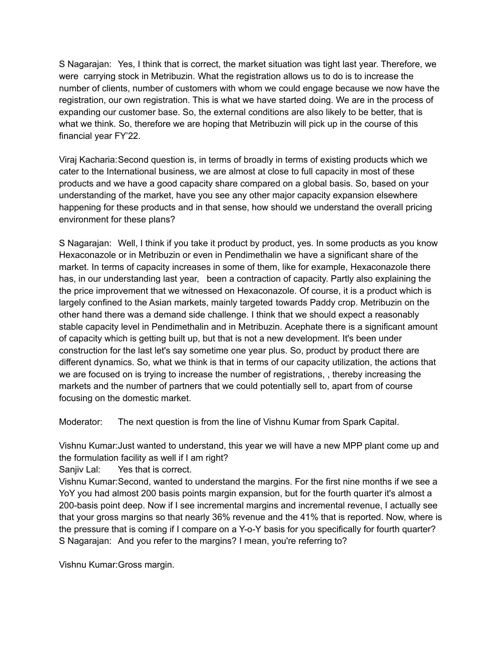S Nagarajan: Yes, I think that is correct, the market situation was tight last year. Therefore, we were carrying stock in Metribuzin. What the registration allows us to do is to increase the number of clients, number of customers with whom we could engage because we now have the registration, our own registration. This is what we have started doing. We are in the process of expanding our customer base. So, the external conditions are also likely to be better, that is what we think. So, therefore we are hoping that Metribuzin will pick up in the course of this financial year FY'22.

Viraj Kacharia:Second question is, in terms of broadly in terms of existing products which we cater to the International business, we are almost at close to full capacity in most of these products and we have a good capacity share compared on a global basis. So, based on your understanding of the market, have you see any other major capacity expansion elsewhere happening for these products and in that sense, how should we understand the overall pricing environment for these plans?

S Nagarajan: Well, I think if you take it product by product, yes. In some products as you know Hexaconazole or in Metribuzin or even in Pendimethalin we have a significant share of the market. In terms of capacity increases in some of them, like for example, Hexaconazole there has, in our understanding last year, been a contraction of capacity. Partly also explaining the the price improvement that we witnessed on Hexaconazole. Of course, it is a product which is largely confined to the Asian markets, mainly targeted towards Paddy crop. Metribuzin on the other hand there was a demand side challenge. I think that we should expect a reasonably stable capacity level in Pendimethalin and in Metribuzin. Acephate there is a significant amount of capacity which is getting built up, but that is not a new development. It's been under construction for the last let's say sometime one year plus. So, product by product there are different dynamics. So, what we think is that in terms of our capacity utilization, the actions that we are focused on is trying to increase the number of registrations, , thereby increasing the markets and the number of partners that we could potentially sell to, apart from of course focusing on the domestic market.

Moderator: The next question is from the line of Vishnu Kumar from Spark Capital.

Vishnu Kumar:Just wanted to understand, this year we will have a new MPP plant come up and the formulation facility as well if I am right?

Sanjiv Lal: Yes that is correct.

Vishnu Kumar:Second, wanted to understand the margins. For the first nine months if we see a YoY you had almost 200 basis points margin expansion, but for the fourth quarter it's almost a 200-basis point deep. Now if I see incremental margins and incremental revenue, I actually see that your gross margins so that nearly 36% revenue and the 41% that is reported. Now, where is the pressure that is coming if I compare on a Y-o-Y basis for you specifically for fourth quarter? S Nagarajan: And you refer to the margins? I mean, you're referring to?

Vishnu Kumar:Gross margin.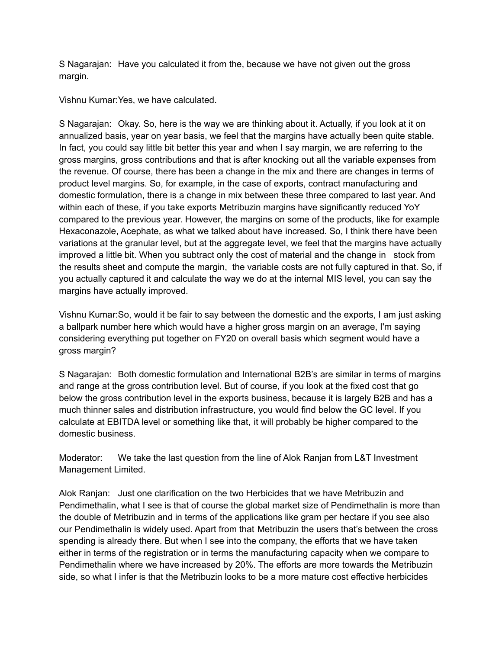S Nagarajan: Have you calculated it from the, because we have not given out the gross margin.

Vishnu Kumar:Yes, we have calculated.

S Nagarajan: Okay. So, here is the way we are thinking about it. Actually, if you look at it on annualized basis, year on year basis, we feel that the margins have actually been quite stable. In fact, you could say little bit better this year and when I say margin, we are referring to the gross margins, gross contributions and that is after knocking out all the variable expenses from the revenue. Of course, there has been a change in the mix and there are changes in terms of product level margins. So, for example, in the case of exports, contract manufacturing and domestic formulation, there is a change in mix between these three compared to last year. And within each of these, if you take exports Metribuzin margins have significantly reduced YoY compared to the previous year. However, the margins on some of the products, like for example Hexaconazole, Acephate, as what we talked about have increased. So, I think there have been variations at the granular level, but at the aggregate level, we feel that the margins have actually improved a little bit. When you subtract only the cost of material and the change in stock from the results sheet and compute the margin, the variable costs are not fully captured in that. So, if you actually captured it and calculate the way we do at the internal MIS level, you can say the margins have actually improved.

Vishnu Kumar:So, would it be fair to say between the domestic and the exports, I am just asking a ballpark number here which would have a higher gross margin on an average, I'm saying considering everything put together on FY20 on overall basis which segment would have a gross margin?

S Nagarajan: Both domestic formulation and International B2B's are similar in terms of margins and range at the gross contribution level. But of course, if you look at the fixed cost that go below the gross contribution level in the exports business, because it is largely B2B and has a much thinner sales and distribution infrastructure, you would find below the GC level. If you calculate at EBITDA level or something like that, it will probably be higher compared to the domestic business.

Moderator: We take the last question from the line of Alok Ranjan from L&T Investment Management Limited.

Alok Ranjan: Just one clarification on the two Herbicides that we have Metribuzin and Pendimethalin, what I see is that of course the global market size of Pendimethalin is more than the double of Metribuzin and in terms of the applications like gram per hectare if you see also our Pendimethalin is widely used. Apart from that Metribuzin the users that's between the cross spending is already there. But when I see into the company, the efforts that we have taken either in terms of the registration or in terms the manufacturing capacity when we compare to Pendimethalin where we have increased by 20%. The efforts are more towards the Metribuzin side, so what I infer is that the Metribuzin looks to be a more mature cost effective herbicides